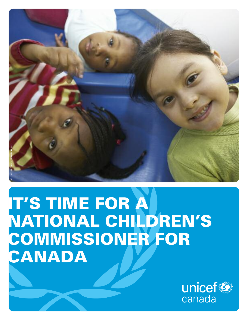

## **IT'S TIME FOR A NATIONAL CHILDREN'S COMMISSIONER FOR CANADA**

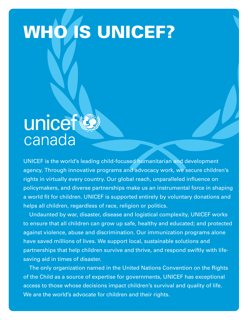# **WHO IS UNICEF?**

## unicef(B) canada

UNICEF is the world's leading child-focused humanitarian and development agency. Through innovative programs and advocacy work, we secure children's rights in virtually every country. Our global reach, unparalleled influence on policymakers, and diverse partnerships make us an instrumental force in shaping a world fit for children. UNICEF is supported entirely by voluntary donations and helps all children, regardless of race, religion or politics.

Undaunted by war, disaster, disease and logistical complexity, UNICEF works to ensure that all children can grow up safe, healthy and educated; and protected against violence, abuse and discrimination. Our immunization programs alone have saved millions of lives. We support local, sustainable solutions and partnerships that help children survive and thrive, and respond swiftly with lifesaving aid in times of disaster.

The only organization named in the United Nations Convention on the Rights of the Child as a source of expertise for governments, UNICEF has exceptional access to those whose decisions impact children's survival and quality of life. We are the world's advocate for children and their rights.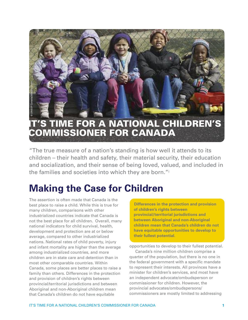

"The true measure of a nation's standing is how well it attends to its children – their health and safety, their material security, their education and socialization, and their sense of being loved, valued, and included in the families and societies into which they are born."i

## **Making the Case for Children**

The assertion is often made that Canada is the best place to raise a child. While this is true for many children, comparisons with other industrialized countries indicate that Canada is not the best place for all children. Overall, many national indicators for child survival, health, development and protection are at or below average, compared to other industrialized nations. National rates of child poverty, injury and infant mortality are higher than the average among industrialized countries, and more children are in state care and detention than in most other comparable countries. Within Canada, some places are better places to raise a family than others. Differences in the protection and provision of children's rights between provincial/territorial jurisdictions and between Aboriginal and non-Aboriginal children mean that Canada's children do not have equitable

**Differences in the protection and provision of children's rights between provincial/territorial jurisdictions and between Aboriginal and non-Aboriginal children mean that Canada's children do not have equitable opportunities to develop to their fullest potential.**

opportunities to develop to their fullest potential.

Canada's nine million children comprise a quarter of the population, but there is no one in the federal government with a specific mandate to represent their interests. All provinces have a minister for children's services, and most have an independent advocate/ombudsperson or commissioner for children. However, the provincial advocates/ombudspersons/ commissioners are mostly limited to addressing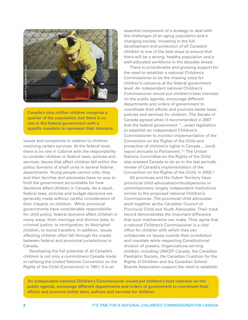

**Canada's nine million children comprise a quarter of the population, but there is no one in the federal government with a specific mandate to represent their interests.**

issues and complaints in relation to children receiving certain services. At the federal level, there is no one in Cabinet with the responsibility to consider children in federal laws, policies and services. Issues that affect children fall within the policy domains of small units in several federal departments. Young people cannot vote; they and their families and advocates have no way to hold the government accountable for how decisions affect children in Canada. As a result, federal laws, policies and budget decisions are generally made without careful consideration of their impacts on children. While provincial governments have considerable responsibility for child policy, federal domains affect children in many ways, from marriage and divorce laws, to criminal justice, to immigration, to Aboriginal children, to social transfers. In addition, issues affecting children often fall through the cracks between federal and provincial jurisdictions in Canada.

Developing the full potential of all Canada's children is not only a commitment Canada made in ratifying the United Nations Convention on the Rights of the Child (Convention) in 1991; it is an

essential component of a strategy to deal with the challenges of an aging population and a changing society. Investing in the full development and protection of all Canada's children is one of the best ways to ensure that there will be a strong, healthy population and a well-educated workforce in the decades ahead.

There is considerable and growing support for the need to establish a national Children's Commissioner to be the missing voice for children's concerns at the federal government level. An independent national Children's Commissioner would put children's best interests on the public agenda, encourage different departments and orders of government to coordinate their efforts and promote better laws, policies and services for children. The Senate of Canada agreed when it recommended in 2007 that the federal government "…enact legislation to establish an independent Children's Commissioner to monitor implementation of the Convention on the Rights of the Child and protection of children's rights in Canada… [and] report annually to Parliament."ii The United Nations Committee on the Rights of the Child also pressed Canada to do so in the last periodic review of Canada's implementation of the Convention on the Rights of the Child, in 2003. iii

All provinces and the Yukon Territory have provincial child advocates/ombudspersons or commissioners; largely independent institutions similar to the proposed national Children's Commissioner. The provincial child advocates work together as the Canadian Council of Provincial Child and Youth Advocates. Their track record demonstrates the important difference that such mechanisms can make. They agree that a national Children's Commissioner is a vital office for children with which they can collaborate on issues outside their jurisdiction and mandate while respecting Constitutional division of powers. Organizations serving children including UNICEF Canada, the Canadian Paediatric Society, the Canadian Coalition for the Rights of Children and the Canadian School Boards Association support the need to establish

**An independent national Children's Commissioner would put children's best interests on the public agenda, encourage different departments and orders of government to coordinate their efforts and promote better laws, policies and services for children.**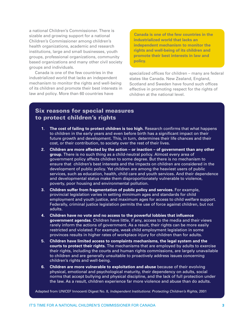a national Children's Commissioner. There is sizable and growing support for a national Children's Commissioner among children's health organizations, academic and research institutions, large and small businesses, youth groups, professional organizations, community based organizations and many other civil society groups and individuals.

Canada is one of the few countries in the industrialized world that lacks an independent mechanism to monitor the rights and well-being of its children and promote their best interests in law and policy. More than 60 countries have

**Canada is one of the few countries in the industrialized world that lacks an independent mechanism to monitor the rights and well-being of its children and promote their best interests in law and policy.**

specialized offices for children – many are federal states like Canada. New Zealand, England, Scotland and Sweden have found such offices effective in promoting respect for the rights of children at the national level.

#### **Six reasons for special measures to protect children's rights**

- **1. The cost of failing to protect children is too high.** Research confirms that what happens to children in the early years and even before birth has a significant impact on their future growth and development. This, in turn, determines their life chances and their cost, or their contribution, to society over the rest of their lives.
- **2. Children are more affected by the action – or inaction – of government than any other group.** There is no such thing as a child-neutral policy. Almost every area of government policy affects children to some degree. But there is no mechanism to ensure that children's best interests and the impacts on children are considered in the development of public policy. Yet children are among the heaviest users of public services, such as education, health, child care and youth services. And their dependence and developmental status make them disproportionately vulnerable to violence, poverty, poor housing and environmental pollution.
- **3. Children suffer from fragmentation of public policy and services.** For example, provincial legislation varies in setting minimum ages and standards for child employment and youth justice, and maximum ages for access to child welfare support. Federally, criminal justice legislation permits the use of force against children, but not adults.
- **4. Children have no vote and no access to the powerful lobbies that influence government agendas.** Children have little, if any, access to the media and their views rarely inform the actions of government. As a result, their rights can be more easily restricted and violated. For example, weak child employment legislation in some provinces results in higher rates of workplace injury for children than for adults.
- **5. Children have limited access to complaints mechanisms, the legal system and the courts to protect their rights.** The mechanisms that are employed by adults to exercise their rights, including the courts and human rights commissions, are largely unavailable to children and are generally unsuitable to proactively address issues concerning children's rights and well-being.
- **6. Children are more vulnerable to exploitation and abuse** because of their evolving physical, emotional and psychological maturity, their dependency on adults, social norms that accept bullying and physical discipline, and the lack of full protection under the law. As a result, children experience far more violence and abuse than do adults.

Adapted from UNICEF Innocenti Digest No. 8, *Independent Institutions: Protecting Children's Rights,* 2001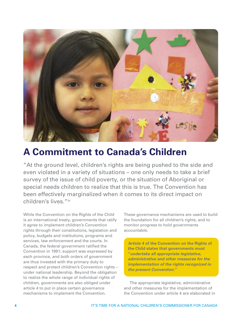

## **A Commitment to Canada's Children**

"At the ground level, children's rights are being pushed to the side and even violated in a variety of situations – one only needs to take a brief survey of the issue of child poverty, or the situation of Aboriginal or special needs children to realize that this is true. The Convention has been effectively marginalized when it comes to its direct impact on children's lives."iv

While the Convention on the Rights of the Child is an international treaty, governments that ratify it agree to implement children's Convention rights through their constitutions, legislation and policy, budgets and institutions, programs and services, law enforcement and the courts. In Canada, the federal government ratified the Convention in 1991; support was expressed by each province, and both orders of government are thus invested with the primary duty to respect and protect children's Convention rights – under national leadership. Beyond the obligation to realize the whole range of individual rights of children, governments are also obliged under article 4 to put in place certain governance mechanisms to implement the Convention.

These governance mechanisms are used to build the foundation for all children's rights, and to monitor progress to hold governments accountable.

**Article 4 of the Convention on the Rights of the Child states that governments must "***undertake all appropriate legislative, administrative and other measures for the implementation of the rights recognized in the present Convention***."**

The appropriate legislative, administrative and other measures for the implementation of the Convention under article 4 are elaborated in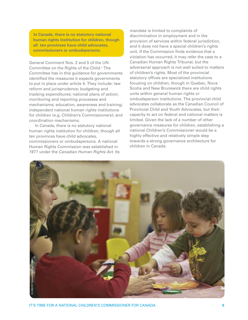**In Canada, there is no statutory national human rights institution for children, though all ten provinces have child advocates, commissioners or ombudspersons.**

General Comment Nos. 2 and 5 of the UN Committee on the Rights of the Child.<sup>v</sup> The Committee has in this guidance for governments identified the measures it expects governments to put in place under article 4. They include: law reform and jurisprudence; budgeting and tracking expenditures; national plans of action; monitoring and reporting processes and mechanisms; education, awareness and training; independent national human rights institutions for children (e.g. Children's Commissioners); and coordination mechanisms.

In Canada, there is no statutory national human rights institution for children, though all ten provinces have child advocates, commissioners or ombudspersons. A national Human Rights Commission was established in 1977 under the *Canadian Human Rights Act*. Its

mandate is limited to complaints of discrimination in employment and in the provision of services within federal jurisdiction, and it does not have a special children's rights unit. If the Commission finds evidence that a violation has occurred, it may refer the case to a Canadian Human Rights Tribunal, but the adversarial approach is not well suited to matters of children's rights. Most of the provincial statutory offices are specialized institutions focusing on children, though in Quebec, Nova Scotia and New Brunswick there are child rights units within general human rights or ombudsperson institutions. The provincial child advocates collaborate as the Canadian Council of Provincial Child and Youth Advocates, but their capacity to act on federal and national matters is limited. Given the lack of a number of other governance measures for children, establishing a national Children's Commissioner would be a highly effective and relatively simple step towards a strong governance architecture for children in Canada.

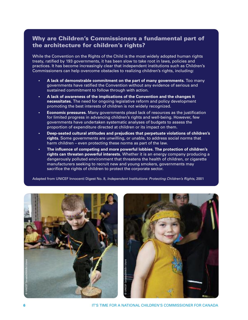#### **Why are Children's Commissioners a fundamental part of the architecture for children's rights?**

While the Convention on the Rights of the Child is the most widely adopted human rights treaty, ratified by 193 governments, it has been slow to take root in laws, policies and practices. It has become increasingly clear that independent institutions such as Children's Commissioners can help overcome obstacles to realizing children's rights, including:

- **• A lack of demonstrable commitment on the part of many governments.** Too many governments have ratified the Convention without any evidence of serious and sustained commitment to follow through with action.
- **• A lack of awareness of the implications of the Convention and the changes it necessitates.** The need for ongoing legislative reform and policy development promoting the best interests of children is not widely recognized.
- **• Economic pressures.** Many governments plead lack of resources as the justification for limited progress in advancing children's rights and well-being. However, few governments have undertaken systematic analyses of budgets to assess the proportion of expenditure directed at children or its impact on them.
- **• Deep-seated cultural attitudes and prejudices that perpetuate violations of children's rights.** Some governments are unwilling, or unable, to address social norms that harm children – even protecting these norms as part of the law.
- **• The influence of competing and more powerful lobbies. The protection of children's rights can threaten powerful interests.** Whether it is an energy company producing a dangerously polluted environment that threatens the health of children, or cigarette manufacturers seeking to recruit new and young smokers, governments may sacrifice the rights of children to protect the corporate sector.

Adapted from UNICEF Innocenti Digest No. 8*, Independent Institutions: Protecting Children's Rights,* 2001





**6** IT'S TIME FOR A NATIONAL CHILDREN'S COMMISSIONER FOR CANADA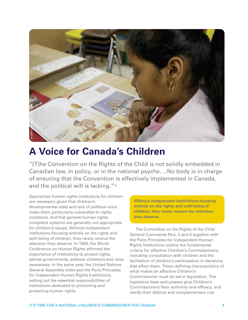

## **A Voice for Canada's Children**

"[T]he Convention on the Rights of the Child is not solidly embedded in Canadian law, in policy, or in the national psyche….No body is in charge of ensuring that the Convention is effectively implemented in Canada, and the political will is lacking."vi

Specialized human rights institutions for children are necessary given that children's developmental state and lack of political voice make them particularly vulnerable to rights violations, and that general human rights complaint systems are generally not appropriate for children's issues. Without independent institutions focusing entirely on the rights and well-being of children, they rarely receive the attention they deserve. In 1993, the World Conference on Human Rights affirmed the importance of institutions to protect rights, advise governments, address violations and raise awareness. In the same year, the United Nations General Assembly endorsed the Paris Principles for Independent Human Rights Institutions, setting out the essential responsibilities of institutions dedicated to promoting and protecting human rights.

**Without independent institutions focusing entirely on the rights and well-being of children, they rarely receive the attention they deserve.**

The Committee on the Rights of the Child General Comments Nos. 2 and 5 together with the Paris Principles for Independent Human Rights Institutions outline the fundamental criteria for effective Children's Commissioners, including consultation with children and the facilitation of children's participation in decisions that affect them. These defining characteristics of what makes an effective Children's Commissioner must be set in legislation. The legislative base and powers give Children's Commissioners their authority and efficacy, and clarify their distinct and complementary role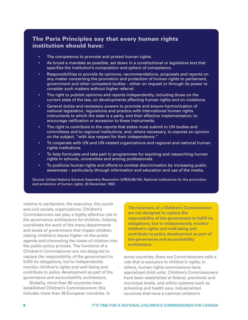#### **The Paris Principles say that every human rights institution should have:**

- **•** The competence to promote and protect human rights.
- As broad a mandate as possible, set down in a constitutional or legislative text that specifies the institution's composition and sphere of competence.
- Responsibilities to provide its opinions, recommendations, proposals and reports on any matter concerning the promotion and protection of human rights to parliament, government and other competent bodies – either on request or through its power to consider such matters without higher referral.
- The right to publish opinions and reports independently, including those on the current state of the law, on developments affecting human rights and on violations.
- General duties and necessary powers to promote and ensure harmonization of national legislation, regulations and practice with international human rights instruments to which the state is a party, and their effective implementation; to encourage ratification or accession to these instruments.
- The right to contribute to the reports that states must submit to UN bodies and committees and to regional institutions, and, where necessary, to express an opinion on the subject, "with due respect for their independence."
- To cooperate with UN and UN-related organizations and regional and national human rights institutions.
- To help formulate and take part in programmes for teaching and researching human rights in schools, universities and among professionals.
- To publicize human rights and efforts to combat discrimination by increasing public awareness – particularly through information and education and use of the media.

Source: United Nations General Assembly Resolution A/RES/48/134, National institutions for the promotion and protection of human rights, 20 December 1993

relative to parliament, the executive, the courts and civil society organizations. Children's Commissioners can play a highly effective role in the governance architecture for children, helping coordinate the work of the many departments and levels of government that impact children, raising children's issues higher on the public agenda and channeling the views of children into the public policy process. The functions of a Children's Commissioner are not designed to replace the responsibility of the government to fulfill its obligations, but to independently monitor children's rights and well-being and contribute to policy development as part of the governance and accountability architecture.

Globally, more than 60 countries have established Children's Commissioners; this includes more than 30 European countries. In

**The functions of a Children's Commissioner are not designed to replace the responsibility of the government to fulfill its obligations, but to independently monitor children's rights and well-being and contribute to policy development as part of the governance and accountability architecture.**

some countries, there are Commissioners with a role that is exclusive to children's rights; in others, human rights commissions have specialized child units. Children's Commissioners have been established at federal, provincial and municipal levels, and within systems such as schooling and health care. Industrialized countries that have a national children's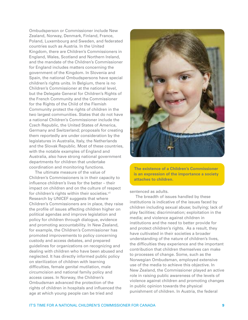Ombudsperson or Commissioner include New Zealand, Norway, Denmark, Finland, France, Poland, Luxembourg and Sweden, and federated countries such as Austria. In the United Kingdom, there are Children's Commissioners in England, Wales, Scotland and Northern Ireland, and the mandate of the Children's Commissioner for England includes matters concerning the government of the Kingdom. In Slovenia and Spain, the national Ombudspersons have special children's rights units. In Belgium, there is no Children's Commissioner at the national level, but the Delegate General for Children's Rights of the French Community and the Commissioner for the Rights of the Child of the Flemish Community protect the rights of children in the two largest communities. States that do not have a national Children's Commissioner include the Czech Republic, the United States of America, Germany and Switzerland; proposals for creating them reportedly are under consideration by the legislatures in Australia, Italy, the Netherlands and the Slovak Republic. Most of these countries, with the notable examples of England and Australia, also have strong national government departments for children that undertake coordination and monitoring functions.

The ultimate measure of the value of Children's Commissioners is in their capacity to influence children's lives for the better – their impact on children and on the culture of respect for children's rights within their societies.<sup>vii</sup> Research by UNICEF suggests that where Children's Commissioners are in place, they raise the profile of issues affecting children higher on political agendas and improve legislation and policy for children through dialogue, evidence and promoting accountability. In New Zealand, for example, the Children's Commissioner has promoted improvements to policy concerning custody and access debates, and prepared guidelines for organizations on recognizing and dealing with children who have been abused and neglected. It has directly informed public policy on sterilization of children with learning difficulties, female genital mutilation, male circumcision and national family policy and access cases. In Norway, the Children's Ombudsman advanced the protection of the rights of children in hospitals and influenced the age at which young people can be tried and



**The existence of a Children's Commissioner is an expression of the importance a society attaches to children.**

sentenced as adults.

The breadth of issues handled by these institutions is indicative of the issues faced by children including sexual abuse; bullying; lack of play facilities; discrimination; exploitation in the media; and violence against children in institutions and the need to better provide for and protect children's rights. As a result, they have cultivated in their societies a broader understanding of the nature of children's lives, the difficulties they experience and the important contribution that children themselves can make to processes of change. Some, such as the Norwegian Ombudsman, employed extensive use of the media to achieve this objective. In New Zealand, the Commissioner played an active role in raising public awareness of the levels of violence against children and promoting changes in public opinion towards the physical punishment of children. In Austria, the federal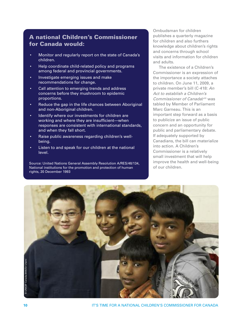#### **A national Children's Commissioner for Canada would:**

- Monitor and regularly report on the state of Canada's children.
- Help coordinate child-related policy and programs among federal and provincial governments.
- Investigate emerging issues and make recommendations for change.
- Call attention to emerging trends and address concerns before they mushroom to epidemic proportions.
- Reduce the gap in the life chances between Aboriginal and non-Aboriginal children.
- Identify where our investments for children are working and where they are insufficient—when responses are consistent with international standards, and when they fall short.
- Raise public awareness regarding children's wellbeing.
- Listen to and speak for our children at the national level.

Source: United Nations General Assembly Resolution A/RES/48/134, National institutions for the promotion and protection of human rights, 20 December 1993

Ombudsman for children publishes a quarterly magazine for children and also furthers knowledge about children's rights and concerns through school visits and information for children and adults.

The existence of a Children's Commissioner is an expression of the importance a society attaches to children. On June 11, 2009, a private member's bill (C-418: *An Act to establish a Children's Commissioner of Canada*)viii was tabled by Member of Parliament Marc Garneau. This is an important step forward as a basis to publicize an issue of public concern and an opportunity for public and parliamentary debate. If adequately supported by Canadians, the bill can materialize into action. A Children's Commissioner is a relatively small investment that will help improve the health and well-being of our children.

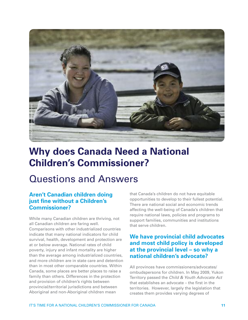

## **Why does Canada Need a National Children's Commissioner?**

### Questions and Answers

#### **Aren't Canadian children doing just fine without a Children's Commissioner?**

While many Canadian children are thriving, not all Canadian children are faring well. Comparisons with other industrialized countries indicate that many national indicators for child survival, health, development and protection are at or below average. National rates of child poverty, injury and infant mortality are higher than the average among industrialized countries, and more children are in state care and detention than in most other comparable countries. Within Canada, some places are better places to raise a family than others. Differences in the protection and provision of children's rights between provincial/territorial jurisdictions and between Aboriginal and non-Aboriginal children mean

that Canada's children do not have equitable opportunities to develop to their fullest potential. There are national social and economic trends affecting the well-being of Canada's children that require national laws, policies and programs to support families, communities and institutions that serve children.

#### **We have provincial child advocates and most child policy is developed at the provincial level – so why a national children's advocate?**

All provinces have commissioners/advocates/ ombudspersons for children. In May 2009, Yukon Territory passed the *Child & Youth Advocate Act* that establishes an advocate – the first in the territories. However, largely the legislation that creates them provides varying degrees of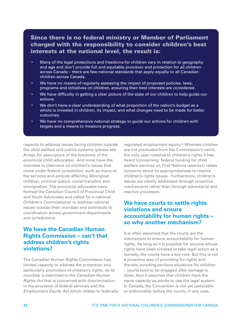#### **Since there is no federal ministry or Member of Parliament charged with the responsibility to consider children's best interests at the national level, the result is:**

- Many of the legal protections and freedoms for children vary in relation to geography and age and don't provide full and equitable provision and protection for all children across Canada – there are few national standards that apply equally to all Canadian children across Canada.
- We have no means of regularly assessing the impact of proposed policies, laws, programs and initiatives on children, ensuring their best interests are considered.
- We have difficulty in getting a clear picture of the state of our children to help guide our actions.
- We don't have a clear understanding of what proportion of the nation's budget as a whole is invested in children, its impact, and what changes need to be made for better outcomes.
- We have no comprehensive national strategy to guide our actions for children with targets and a means to measure progress.

capacity to address issues facing children outside the child welfare and justice systems (please see Annex for descriptors of the functions of the provincial child advocates). And none have the mandate to intervene on children's issues that come under federal jurisdiction, such as many of the services and policies affecting Aboriginal children, criminal justice, social transfers and immigration. The provincial advocates have formed the Canadian Council of Provincial Child and Youth Advocates and called for a national Children's Commissioner to address national issues outside their mandate and contribute to coordination across government departments and jurisdictions.

#### **We have the Canadian Human Rights Commission – can't that address children's rights violations?**

The Canadian Human Rights Commission has limited capacity to address the protection and particularly promotion of children's rights, as its mandate is restricted to the *Canadian Human Rights Act* that is concerned with discrimination in the provision of federal services and the *Employment Equity Act* which relates to federally regulated employment equity.<sup>ix</sup> Whereas children are not precluded from the Commission's remit, the only case material to children's rights it has heard (concerning federal funding for child welfare services on First Nations reserves) raises concerns about its appropriateness to resolve children's rights issues. Furthermore, children's issues are ideally addressed through proactive mechanisms rather than through adversarial and reactive processes.

#### **We have courts to settle rights violations and ensure accountability for human rights – so why another mechanism?**

It is often assumed that the courts are the mechanism to ensure accountability for human rights. As long as it is possible for anyone whose rights have been violated to take legal action as a remedy, the courts have a key role. But this is not a proactive way of providing for rights and thereby avoiding perilous situations for children – courts tend to be engaged after damage is done. And it assumes that children have the same capacity as adults to use the legal system. In Canada, the Convention is not yet justiciable or enforceable before the courts, in any case.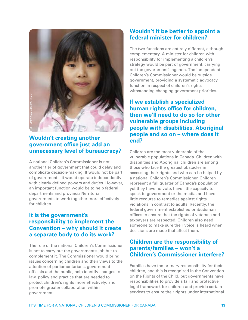

#### **Wouldn't creating another government office just add an unnecessary level of bureaucracy?**

A national Children's Commissioner is not another tier of government that could delay and complicate decision-making. It would not be part of government – it would operate independently with clearly defined powers and duties. However, an important function would be to help federal departments and provincial/territorial governments to work together more effectively for children.

#### **It is the government's responsibility to implement the Convention – why should it create a separate body to do its work?**

The role of the national Children's Commissioner is not to carry out the government's job but to complement it. The Commissioner would bring issues concerning children and their views to the attention of parliamentarians, government officials and the public; help identify changes to law, policy and practice that are needed to protect children's rights more effectively; and promote greater collaboration within government.

#### **Wouldn't it be better to appoint a federal minister for children?**

The two functions are entirely different, although complementary. A minister for children with responsibility for implementing a children's strategy would be part of government, carrying out the government's agenda. The independent Children's Commissioner would be outside government, providing a systematic advocacy function in respect of children's rights withstanding changing government priorities.

**If we establish a specialized human rights office for children, then we'll need to do so for other vulnerable groups including people with disabilities, Aboriginal people and so on – where does it end?**

Children are the most vulnerable of the vulnerable populations in Canada. Children with disabilities and Aboriginal children are among those who face the greatest obstacles in accessing their rights and who can be helped by a national Children's Commissioner. Children represent a full quarter of Canada's population, yet they have no vote, have little capacity to speak to government or the media, and have little recourse to remedies against rights violations in contrast to adults. Recently, the federal government established ombudsman offices to ensure that the rights of veterans and taxpayers are respected. Children also need someone to make sure their voice is heard when decisions are made that affect them.

#### **Children are the responsibility of parents/families – won't a Children's Commissioner interfere?**

Families have the primary responsibility for their children, and this is recognized in the Convention on the Rights of the Child, but governments have responsibilities to provide a fair and protective legal framework for children and provide certain services to ensure their rights under international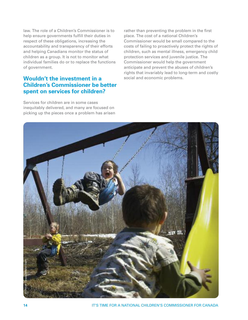law. The role of a Children's Commissioner is to help ensure governments fulfill their duties in respect of these obligations, increasing the accountability and transparency of their efforts and helping Canadians monitor the status of children as a group. It is not to monitor what individual families do or to replace the functions of government.

#### **Wouldn't the investment in a Children's Commissioner be better spent on services for children?**

Services for children are in some cases inequitably delivered, and many are focused on picking up the pieces once a problem has arisen

rather than preventing the problem in the first place. The cost of a national Children's Commissioner would be small compared to the costs of failing to proactively protect the rights of children, such as mental illness, emergency child protection services and juvenile justice. The Commissioner would help the government anticipate and prevent the abuses of children's rights that invariably lead to long-term and costly social and economic problems.



**14 IT'S TIME FOR A NATIONAL CHILDREN'S COMMISSIONER FOR CANADA**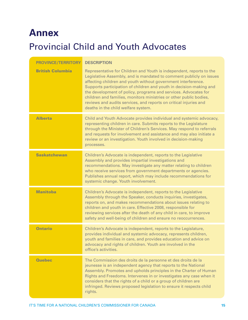## **Annex**

## Provincial Child and Youth Advocates

| <b>PROVINCE/TERRITORY</b> | <b>DESCRIPTION</b>                                                                                                                                                                                                                                                                                                                                                                                                                                                                                                                       |
|---------------------------|------------------------------------------------------------------------------------------------------------------------------------------------------------------------------------------------------------------------------------------------------------------------------------------------------------------------------------------------------------------------------------------------------------------------------------------------------------------------------------------------------------------------------------------|
| <b>British Columbia</b>   | Representative for Children and Youth is independent, reports to the<br>Legislative Assembly, and is mandated to comment publicly on issues<br>affecting children and youth without government interference.<br>Supports participation of children and youth in decision-making and<br>the development of policy, programs and services. Advocates for<br>children and families, monitors ministries or other public bodies,<br>reviews and audits services, and reports on critical injuries and<br>deaths in the child welfare system. |
| <b>Alberta</b>            | Child and Youth Advocate provides individual and systemic advocacy,<br>representing children in care. Submits reports to the Legislature<br>through the Minister of Children's Services. May respond to referrals<br>and requests for involvement and assistance and may also initiate a<br>review or an investigation. Youth involved in decision-making<br>processes.                                                                                                                                                                  |
| <b>Saskatchewan</b>       | Children's Advocate is independent, reports to the Legislative<br>Assembly and provides impartial investigations and<br>recommendations. May investigate any matter relating to children<br>who receive services from government departments or agencies.<br>Publishes annual report, which may include recommendations for<br>systemic change. Youth involvement.                                                                                                                                                                       |
| <b>Manitoba</b>           | Children's Advocate is independent, reports to the Legislative<br>Assembly through the Speaker, conducts inquiries, investigates,<br>reports on, and makes recommendations about issues relating to<br>children and youth in care. Effective 2008, responsible for<br>reviewing services after the death of any child in care, to improve<br>safety and well-being of children and ensure no reoccurrences.                                                                                                                              |
| <b>Ontario</b>            | Children's Advocate is independent, reports to the Legislature,<br>provides individual and systemic advocacy, represents children,<br>youth and families in care, and provides education and advice on<br>advocacy and rights of children. Youth are involved in the<br>office's activities.                                                                                                                                                                                                                                             |
| <b>Quebec</b>             | The Commission des droits de la personne et des droits de la<br>jeunesse is an independent agency that reports to the National<br>Assembly. Promotes and upholds principles in the Charter of Human<br>Rights and Freedoms. Intervenes in or investigates any case when it<br>considers that the rights of a child or a group of children are<br>infringed. Reviews proposed legislation to ensure it respects child<br>rights.                                                                                                          |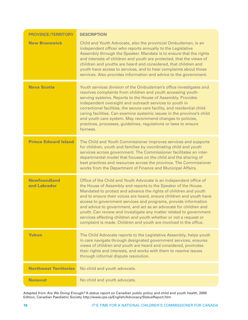| <b>PROVINCE/TERRITORY</b>           | <b>DESCRIPTION</b>                                                                                                                                                                                                                                                                                                                                                                                                                                                                                                                                                                                                                       |
|-------------------------------------|------------------------------------------------------------------------------------------------------------------------------------------------------------------------------------------------------------------------------------------------------------------------------------------------------------------------------------------------------------------------------------------------------------------------------------------------------------------------------------------------------------------------------------------------------------------------------------------------------------------------------------------|
| <b>New Brunswick</b>                | Child and Youth Advocate, also the provincial Ombudsman, is an<br>independent officer who reports annually to the Legislative<br>Assembly through the Speaker. Mandate is to ensure that the rights<br>and interests of children and youth are protected, that the views of<br>children and youths are heard and considered, that children and<br>youth have access to services, and to hear complaints about those<br>services. Also provides information and advice to the government.                                                                                                                                                 |
| <b>Nova Scotia</b>                  | Youth services division of the Ombudsman's office investigates and<br>resolves complaints from children and youth accessing youth-<br>serving systems. Reports to the House of Assembly. Provides<br>independent oversight and outreach services to youth in<br>correctional facilities, the secure care facility, and residential child-<br>caring facilities. Can examine systemic issues in the province's child<br>and youth care system. May recommend changes to policies,<br>practices, processes, guidelines, regulations or laws to ensure<br>fairness.                                                                         |
| <b>Prince Edward Island</b>         | The Child and Youth Commissioner improves services and supports<br>for children, youth and families by coordinating child and youth<br>services across government. The Commissioner facilitates an inter-<br>departmental model that focuses on the child and the sharing of<br>best practices and resources across the province. The Commissioner<br>works from the Department of Finance and Municipal Affairs.                                                                                                                                                                                                                        |
| <b>Newfoundland</b><br>and Labrador | Office of the Child and Youth Advocate is an independent office of<br>the House of Assembly and reports to the Speaker of the House.<br>Mandated to protect and advance the rights of children and youth<br>and to ensure their voices are heard, ensure children and youth have<br>access to government services and programs, provide information<br>and advice to government, and act as an advocate for children and<br>youth. Can review and investigate any matter related to government<br>services affecting children and youth whether or not a request or<br>complaint is made. Children and youth are involved in the office. |
| <b>Yukon</b>                        | The Child Advocate reports to the Legislative Assembly, helps youth<br>in care navigate through designated government services, ensures<br>views of children and youth are heard and considered, promotes<br>their rights and interests, and works with them to resolve issues<br>through informal dispute resolution.                                                                                                                                                                                                                                                                                                                   |
| <b>Northwest Territories</b>        | No child and youth advocate.                                                                                                                                                                                                                                                                                                                                                                                                                                                                                                                                                                                                             |
| <b>Nunavut</b>                      | No child and youth advocate.                                                                                                                                                                                                                                                                                                                                                                                                                                                                                                                                                                                                             |

Adapted from *Are We Doing Enough?* A status report on Canadian public policy and child and youth health, 2009 Edition, Canadian Paediatric Society http://www.cps.ca/English/Advocacy/StatusReport.htm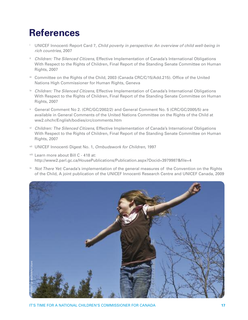## **References**

- <sup>i</sup> UNICEF Innocenti Report Card 7, *Child poverty in perspective: An overview of child well-being in rich countries*, 2007
- ii *Children: The Silenced Citizens*, Effective Implementation of Canada's International Obligations With Respect to the Rights of Children, Final Report of the Standing Senate Committee on Human Rights, 2007
- iii Committee on the Rights of the Child, 2003 (Canada CRC/C/15/Add.215). Office of the United Nations High Commissioner for Human Rights, Geneva
- iv *Children: The Silenced Citizens*, Effective Implementation of Canada's International Obligations With Respect to the Rights of Children, Final Report of the Standing Senate Committee on Human Rights, 2007
- <sup>v</sup> General Comment No 2. (CRC/GC/2002/2) and General Comment No. 5 (CRC/GC/2005/5) are available in General Comments of the United Nations Committee on the Rights of the Child at ww2.ohchr/English/bodies/crc/comments.htm
- vi *Children: The Silenced Citizens*, Effective Implementation of Canada's International Obligations With Respect to the Rights of Children, Final Report of the Standing Senate Committee on Human Rights, 2007
- vii UNICEF Innocenti Digest No. 1, *Ombudswork for Children*, 1997
- viii Learn more about Bill C 418 at: http://www2.parl.gc.ca/HousePublications/Publication.aspx?Docid=3979987&file=4
- ix *Not There Yet:* Canada's implementation of the general measures of the Convention on the Rights of the Child, A joint publication of the UNICEF Innocenti Research Centre and UNICEF Canada, 2009